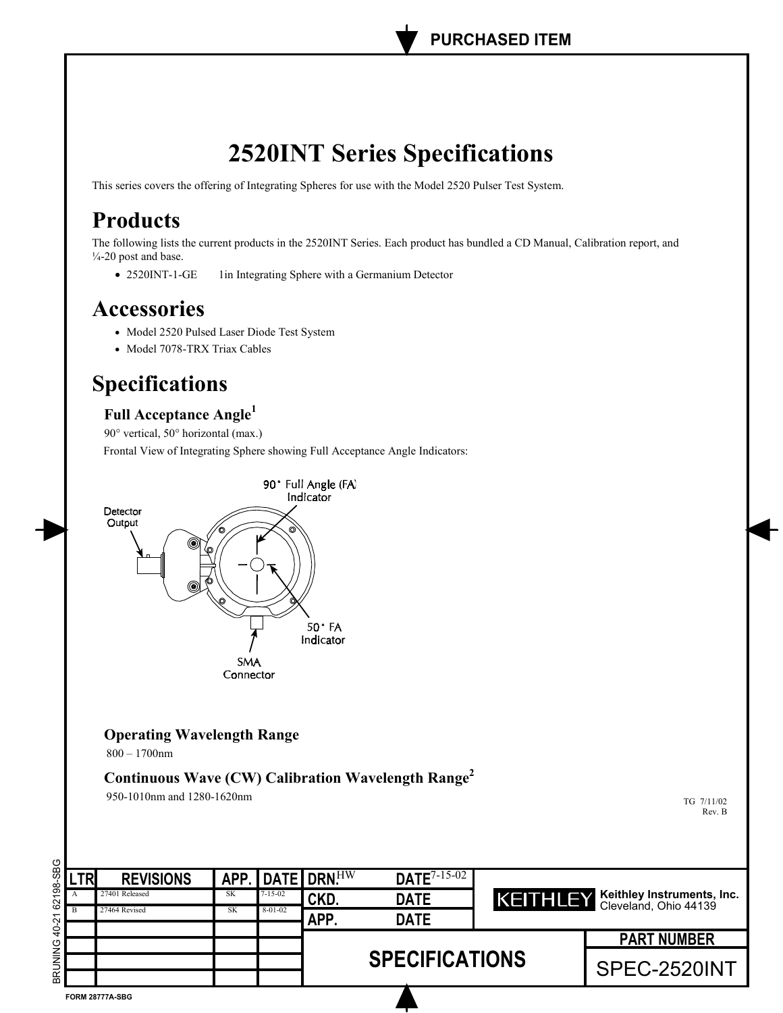# **2520INT Series Specifications**

This series covers the offering of Integrating Spheres for use with the Model 2520 Pulser Test System.

## **Products**

The following lists the current products in the 2520INT Series. Each product has bundled a CD Manual, Calibration report, and  $\frac{1}{4}$ -20 post and base.

• 2520INT-1-GE 1in Integrating Sphere with a Germanium Detector

### **Accessories**

- Model 2520 Pulsed Laser Diode Test System
- Model 7078-TRX Triax Cables

## **Specifications**

### Full Acceptance Angle<sup>1</sup>

90° vertical, 50° horizontal (max.)

Frontal View of Integrating Sphere showing Full Acceptance Angle Indicators:



### **Operating Wavelength Range**

 $800 - 1700$ nm

**Continuous Wave (CW) Calibration Wavelength Range2**

950-1010nm and 1280-1620nm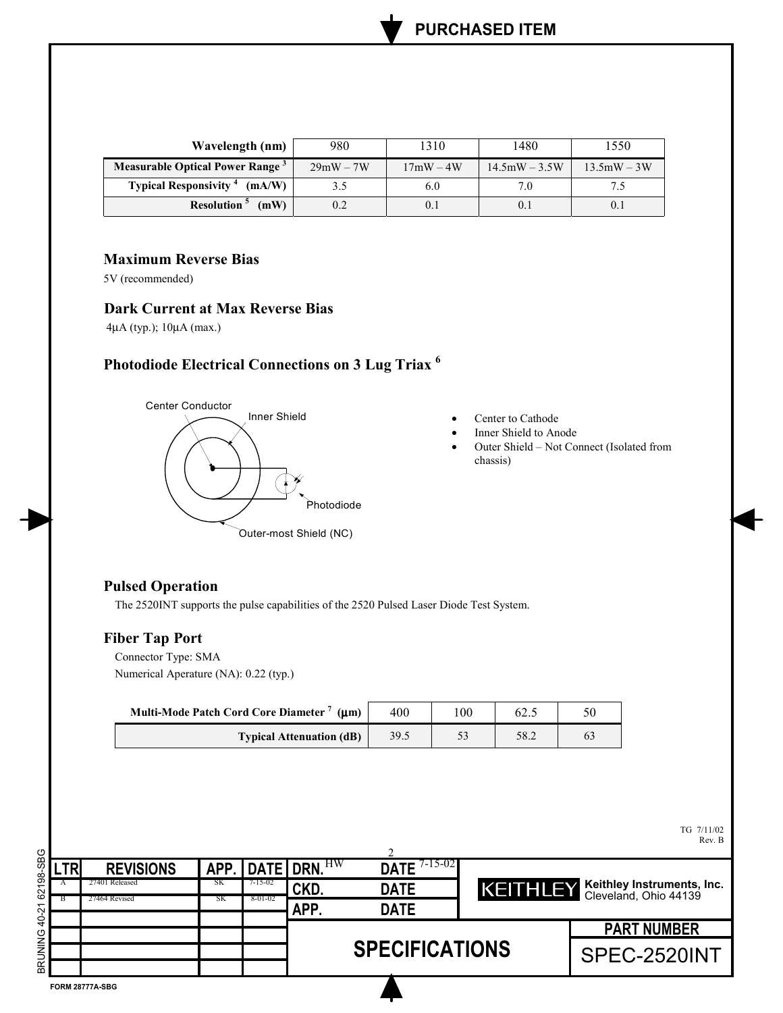| Wavelength (nm)                                    | 980         | 1310        | 1480            | 1550          |
|----------------------------------------------------|-------------|-------------|-----------------|---------------|
| Measurable Optical Power Range <sup>3</sup>        | $29mW - 7W$ | $17mW - 4W$ | $14.5mW - 3.5W$ | $13.5mW - 3W$ |
| <b>Typical Responsivity</b> <sup>4</sup><br>(mA/W) | 3.5         | 6.0         | 7.0             |               |
| Resolution <sup>5</sup><br>(mW)                    | 0.2         |             | 0.1             | 0.            |

#### **Maximum Reverse Bias**

5V (recommended)

#### **Dark Current at Max Reverse Bias**

4µA (typ.); 10µA (max.)

### **Photodiode Electrical Connections on 3 Lug Triax <sup>6</sup>**



- Center to Cathode
- Inner Shield to Anode
- Outer Shield Not Connect (Isolated from chassis)

#### **Pulsed Operation**

The 2520INT supports the pulse capabilities of the 2520 Pulsed Laser Diode Test System.

#### **Fiber Tap Port**

Connector Type: SMA Numerical Aperature (NA): 0.22 (typ.)

| Multi-Mode Patch Cord Core Diameter <sup>7</sup> ( $\mu$ m) | 400  | $\overline{00}$ | 02.J |  |
|-------------------------------------------------------------|------|-----------------|------|--|
| <b>Typical Attenuation (dB)</b>                             | 39.5 |                 | 58.2 |  |